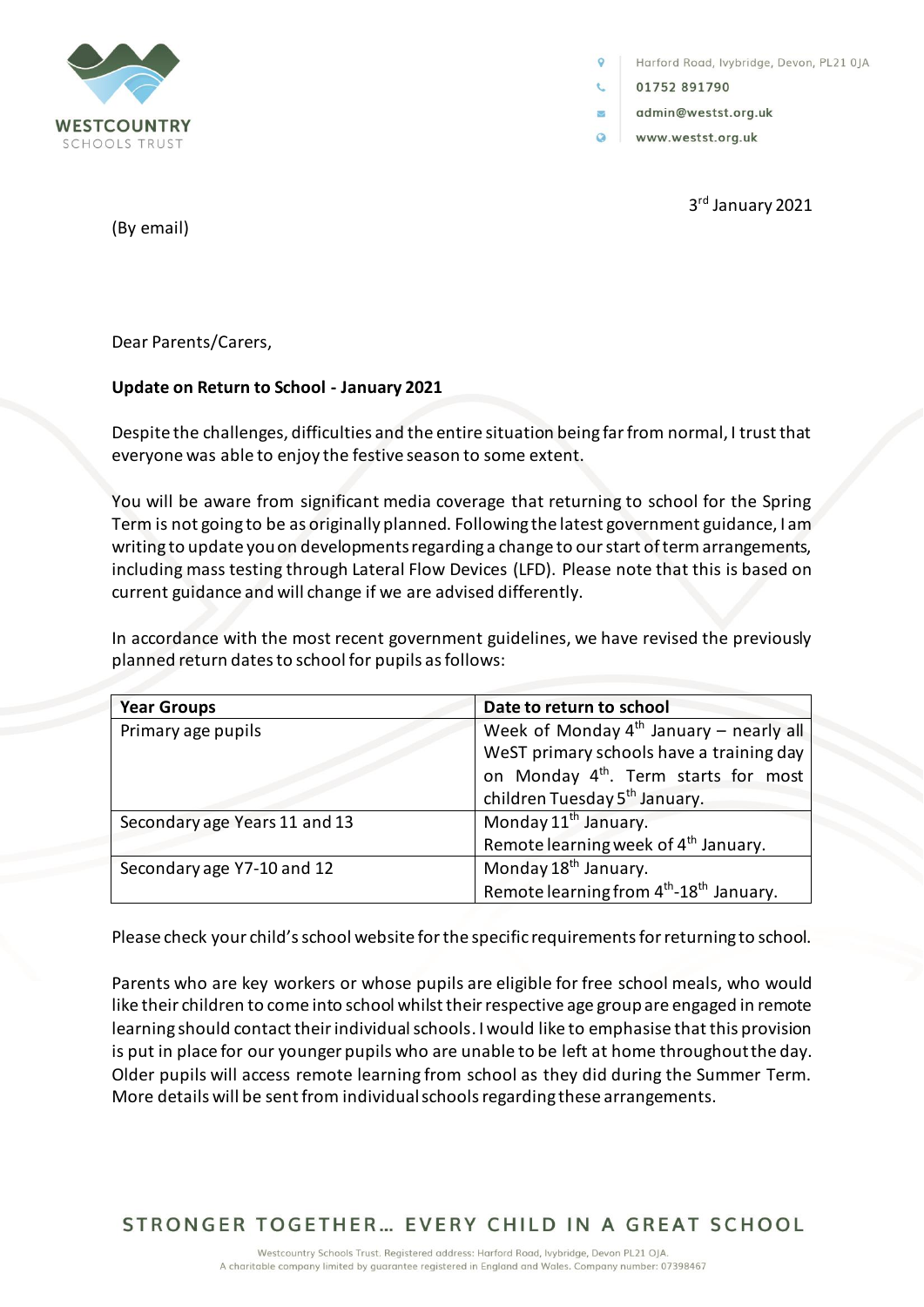

Harford Road, lvybridge, Devon, PL21 0JA

01752 891790

 $\overline{\mathbf{z}}$ 

- admin@westst.org.uk
- $\Omega$ www.westst.org.uk

3 rd January 2021

(By email)

Dear Parents/Carers,

# **Update on Return to School - January 2021**

Despite the challenges, difficulties and the entire situation being far from normal, I trust that everyone was able to enjoy the festive season to some extent.

You will be aware from significant media coverage that returning to school for the Spring Term is not going to be as originally planned. Following the latest government guidance, I am writing to update you on developments regarding a change to our start of term arrangements, including mass testing through Lateral Flow Devices (LFD). Please note that this is based on current guidance and will change if we are advised differently.

In accordance with the most recent government guidelines, we have revised the previously planned return dates to school for pupils as follows:

| <b>Year Groups</b>            | Date to return to school                                        |
|-------------------------------|-----------------------------------------------------------------|
| Primary age pupils            | Week of Monday $4^{th}$ January – nearly all                    |
|                               | WeST primary schools have a training day                        |
|                               | on Monday 4 <sup>th</sup> . Term starts for most                |
|                               | children Tuesday 5 <sup>th</sup> January.                       |
| Secondary age Years 11 and 13 | Monday 11 <sup>th</sup> January.                                |
|                               | Remote learning week of 4 <sup>th</sup> January.                |
| Secondary age Y7-10 and 12    | Monday 18 <sup>th</sup> January.                                |
|                               | Remote learning from 4 <sup>th</sup> -18 <sup>th</sup> January. |

Please check your child's school website for the specific requirements for returning to school.

Parents who are key workers or whose pupils are eligible for free school meals, who would like their children to come into school whilst their respective age group are engaged in remote learning should contact their individual schools. I would like to emphasise that this provision is put in place for our younger pupils who are unable to be left at home throughout the day. Older pupils will access remote learning from school as they did during the Summer Term. More details will be sent from individual schools regarding these arrangements.

STRONGER TOGETHER... EVERY CHILD IN A GREAT SCHOOL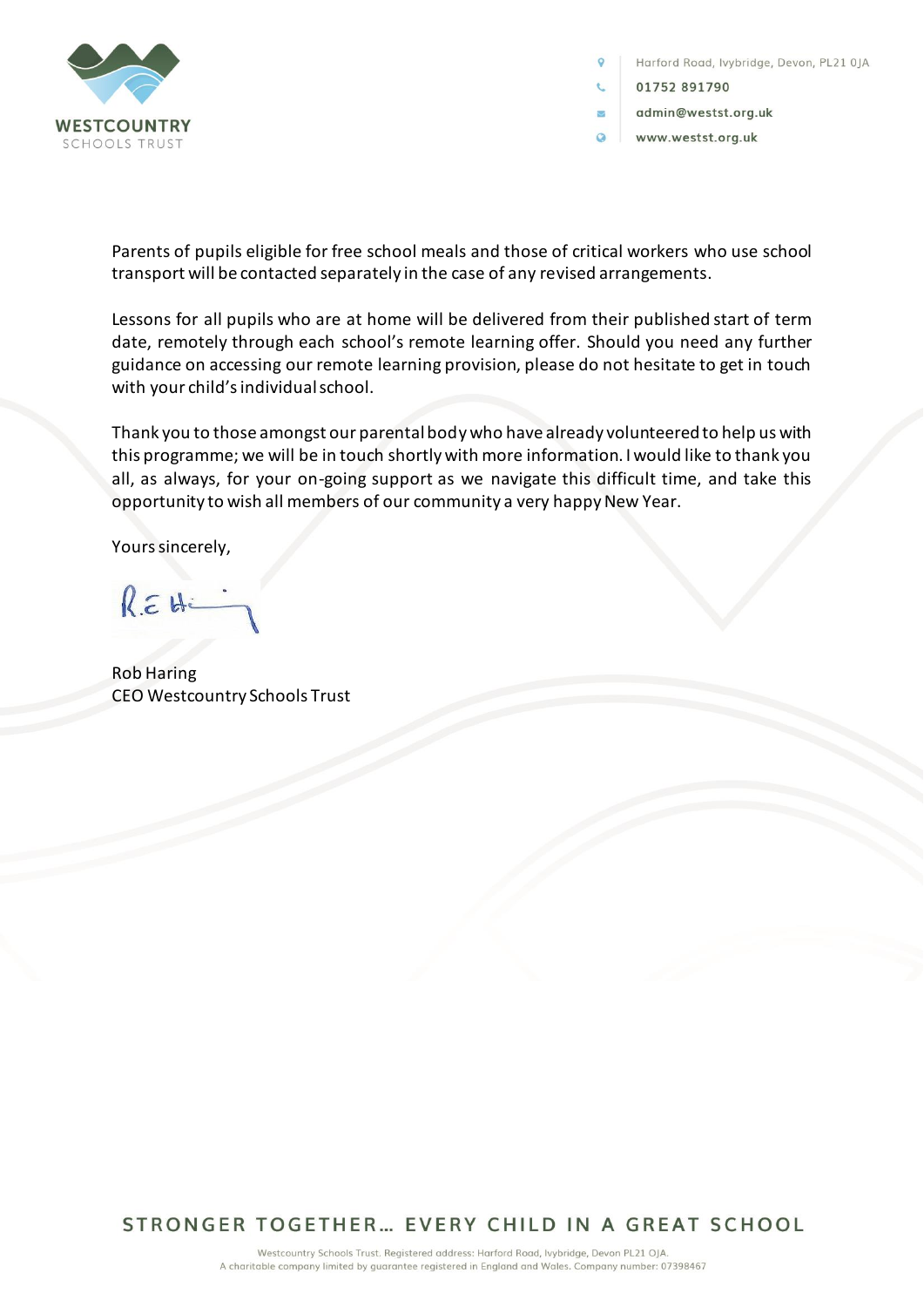

Harford Road, lvybridge, Devon, PL21 0JA

- 01752 891790
- admin@westst.org.uk
- $\Omega$ www.westst.org.uk

Parents of pupils eligible for free school meals and those of critical workers who use school transport will be contacted separately in the case of any revised arrangements.

Lessons for all pupils who are at home will be delivered from their published start of term date, remotely through each school's remote learning offer. Should you need any further guidance on accessing our remote learning provision, please do not hesitate to get in touch with your child's individual school.

Thank you to those amongst our parental body who have already volunteered to help us with this programme; we will be in touch shortly with more information. I would like to thank you all, as always, for your on-going support as we navigate this difficult time, and take this opportunity to wish all members of our community a very happy New Year.

Yours sincerely,

 $R \in H$ 

Rob Haring CEO Westcountry Schools Trust

STRONGER TOGETHER... EVERY CHILD IN A GREAT SCHOOL